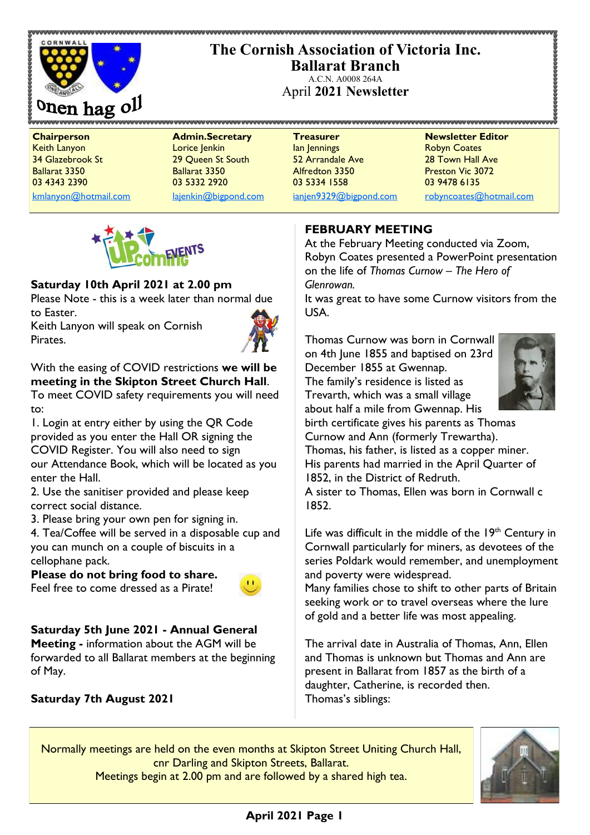

# **The Cornish Association of Victoria Inc. Ballarat Branch**

A.C.N. A0008 264A April **2021 Newsletter**

[kmlanyon@hotmail.com](mailto:kmlanyon@hotmail.com) [lajenkin@bigpond.com](mailto:lajenkin@bigpond.com) [ianjen9329@bigpond.com](mailto:ianjen9329@bigpond.com) [robyncoates@hotmail.com](mailto:robynjcoates@iinet.net.au)

**Chairperson Admin.Secretary Treasurer Newsletter Editor** Keith Lanyon Lorice Jenkin Ian Jennings Robyn Coates 34 Glazebrook St 29 Queen St South 52 Arrandale Ave 28 Town Hall Ave Ballarat 3350 Ballarat 3350 Alfredton 3350 Preston Vic 3072 03 4343 2390 03 5332 2920 03 5334 1558 03 9478 6135



## **Saturday 10th April 2021 at 2.00 pm**

Please Note - this is a week later than normal due to Easter.

Keith Lanyon will speak on Cornish Pirates.



With the easing of COVID restrictions **we will be meeting in the Skipton Street Church Hall**. To meet COVID safety requirements you will need

to: 1. Login at entry either by using the QR Code provided as you enter the Hall OR signing the COVID Register. You will also need to sign our Attendance Book, which will be located as you enter the Hall.

2. Use the sanitiser provided and please keep correct social distance.

3. Please bring your own pen for signing in.

4. Tea/Coffee will be served in a disposable cup and you can munch on a couple of biscuits in a cellophane pack.

**Please do not bring food to share.** Feel free to come dressed as a Pirate!



**Saturday 5th June 2021 - Annual General Meeting -** information about the AGM will be

forwarded to all Ballarat members at the beginning of May.

## **Saturday 7th August 2021**

**FEBRUARY MEETING**

At the February Meeting conducted via Zoom, Robyn Coates presented a PowerPoint presentation on the life of *Thomas Curnow – The Hero of Glenrowan.*

It was great to have some Curnow visitors from the USA.

Thomas Curnow was born in Cornwall on 4th June 1855 and baptised on 23rd December 1855 at Gwennap. The family's residence is listed as Trevarth, which was a small village about half a mile from Gwennap. His



birth certificate gives his parents as Thomas Curnow and Ann (formerly Trewartha).

Thomas, his father, is listed as a copper miner. His parents had married in the April Quarter of 1852, in the District of Redruth.

A sister to Thomas, Ellen was born in Cornwall c 1852.

Life was difficult in the middle of the  $19<sup>th</sup>$  Century in Cornwall particularly for miners, as devotees of the series Poldark would remember, and unemployment and poverty were widespread.

Many families chose to shift to other parts of Britain seeking work or to travel overseas where the lure of gold and a better life was most appealing.

The arrival date in Australia of Thomas, Ann, Ellen and Thomas is unknown but Thomas and Ann are present in Ballarat from 1857 as the birth of a daughter, Catherine, is recorded then. Thomas's siblings:

Normally meetings are held on the even months at Skipton Street Uniting Church Hall, cnr Darling and Skipton Streets, Ballarat. Meetings begin at 2.00 pm and are followed by a shared high tea.



# **April 2021 Page 1**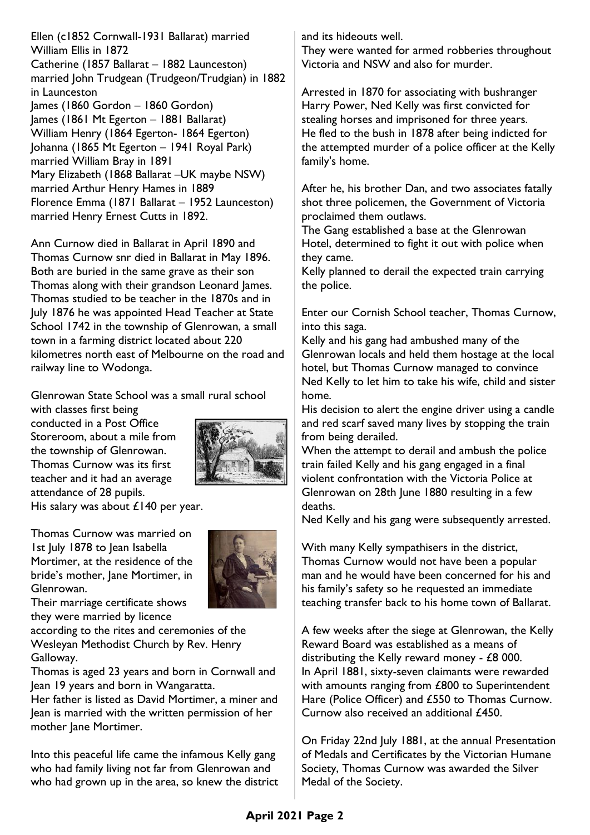Ellen (c1852 Cornwall-1931 Ballarat) married William Ellis in 1872 Catherine (1857 Ballarat – 1882 Launceston) married John Trudgean (Trudgeon/Trudgian) in 1882 in Launceston James (1860 Gordon – 1860 Gordon) James (1861 Mt Egerton – 1881 Ballarat) William Henry (1864 Egerton- 1864 Egerton) Johanna (1865 Mt Egerton – 1941 Royal Park) married William Bray in 1891 Mary Elizabeth (1868 Ballarat –UK maybe NSW) married Arthur Henry Hames in 1889 Florence Emma (1871 Ballarat – 1952 Launceston) married Henry Ernest Cutts in 1892.

Ann Curnow died in Ballarat in April 1890 and Thomas Curnow snr died in Ballarat in May 1896. Both are buried in the same grave as their son Thomas along with their grandson Leonard James. Thomas studied to be teacher in the 1870s and in July 1876 he was appointed Head Teacher at State School 1742 in the township of Glenrowan, a small town in a farming district located about 220 kilometres north east of Melbourne on the road and railway line to Wodonga.

Glenrowan State School was a small rural school

with classes first being conducted in a Post Office Storeroom, about a mile from the township of Glenrowan. Thomas Curnow was its first teacher and it had an average attendance of 28 pupils.



His salary was about £140 per year.

Thomas Curnow was married on 1st July 1878 to Jean Isabella Mortimer, at the residence of the bride's mother, Jane Mortimer, in Glenrowan.



Their marriage certificate shows they were married by licence

according to the rites and ceremonies of the Wesleyan Methodist Church by Rev. Henry Galloway.

Thomas is aged 23 years and born in Cornwall and Jean 19 years and born in Wangaratta.

Her father is listed as David Mortimer, a miner and Jean is married with the written permission of her mother Jane Mortimer.

Into this peaceful life came the infamous Kelly gang who had family living not far from Glenrowan and who had grown up in the area, so knew the district and its hideouts well.

They were wanted for armed robberies throughout Victoria and NSW and also for murder.

Arrested in 1870 for associating with bushranger Harry Power, Ned Kelly was first convicted for stealing horses and imprisoned for three years. He fled to the bush in 1878 after being indicted for the attempted murder of a police officer at the Kelly family's home.

After he, his brother Dan, and two associates fatally shot three policemen, the Government of Victoria proclaimed them outlaws.

The Gang established a base at the Glenrowan Hotel, determined to fight it out with police when they came.

Kelly planned to derail the expected train carrying the police.

Enter our Cornish School teacher, Thomas Curnow, into this saga.

Kelly and his gang had ambushed many of the Glenrowan locals and held them hostage at the local hotel, but Thomas Curnow managed to convince Ned Kelly to let him to take his wife, child and sister home.

His decision to alert the engine driver using a candle and red scarf saved many lives by stopping the train from being derailed.

When the attempt to derail and ambush the police train failed Kelly and his gang engaged in a final violent confrontation with the Victoria Police at Glenrowan on 28th June 1880 resulting in a few deaths.

Ned Kelly and his gang were subsequently arrested.

With many Kelly sympathisers in the district, Thomas Curnow would not have been a popular man and he would have been concerned for his and his family's safety so he requested an immediate teaching transfer back to his home town of Ballarat.

A few weeks after the siege at Glenrowan, the Kelly Reward Board was established as a means of distributing the Kelly reward money - £8 000. In April 1881, sixty-seven claimants were rewarded with amounts ranging from £800 to Superintendent Hare (Police Officer) and £550 to Thomas Curnow. Curnow also received an additional £450.

On Friday 22nd July 1881, at the annual Presentation of Medals and Certificates by the Victorian Humane Society, Thomas Curnow was awarded the Silver Medal of the Society.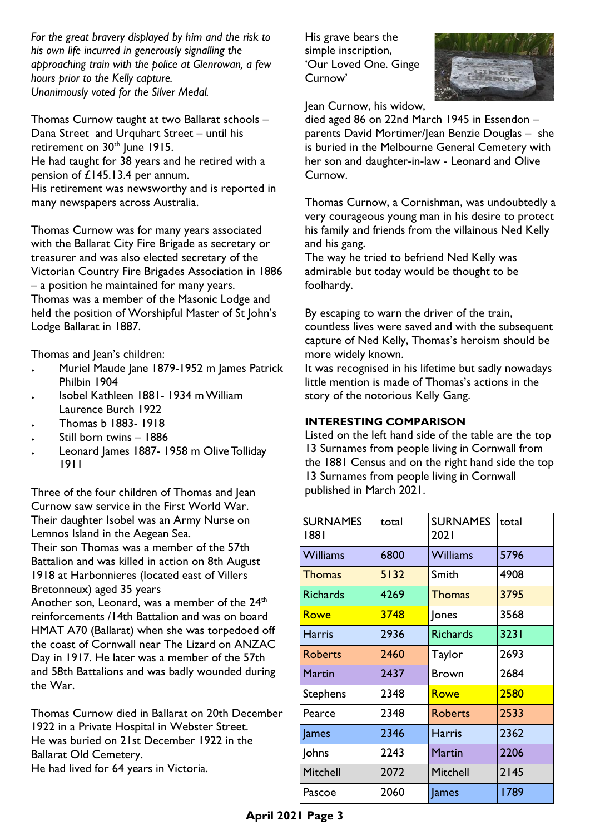*For the great bravery displayed by him and the risk to his own life incurred in generously signalling the approaching train with the police at Glenrowan, a few hours prior to the Kelly capture. Unanimously voted for the Silver Medal.*

Thomas Curnow taught at two Ballarat schools – Dana Street and Urquhart Street – until his retirement on  $30<sup>th</sup>$  lune 1915. He had taught for 38 years and he retired with a pension of £145.13.4 per annum. His retirement was newsworthy and is reported in many newspapers across Australia.

Thomas Curnow was for many years associated with the Ballarat City Fire Brigade as secretary or treasurer and was also elected secretary of the Victorian Country Fire Brigades Association in 1886 – a position he maintained for many years. Thomas was a member of the Masonic Lodge and held the position of Worshipful Master of St John's Lodge Ballarat in 1887.

Thomas and Jean's children:

- . Muriel Maude Jane 1879-1952 m James Patrick Philbin 1904
- . Isobel Kathleen 1881- 1934 m William Laurence Burch 1922
- Thomas b 1883- 1918
- Still born twins 1886
- Leonard James 1887- 1958 m Olive Tolliday 1911

Three of the four children of Thomas and Jean Curnow saw service in the First World War. Their daughter Isobel was an Army Nurse on Lemnos Island in the Aegean Sea.

Their son Thomas was a member of the 57th Battalion and was killed in action on 8th August 1918 at Harbonnieres (located east of Villers Bretonneux) aged 35 years

Another son, Leonard, was a member of the  $24<sup>th</sup>$ reinforcements /14th Battalion and was on board HMAT A70 (Ballarat) when she was torpedoed off the coast of Cornwall near The Lizard on ANZAC Day in 1917. He later was a member of the 57th and 58th Battalions and was badly wounded during the War.

Thomas Curnow died in Ballarat on 20th December 1922 in a Private Hospital in Webster Street. He was buried on 21st December 1922 in the Ballarat Old Cemetery. He had lived for 64 years in Victoria.

His grave bears the simple inscription, 'Our Loved One. Ginge Curnow'



Jean Curnow, his widow,

died aged 86 on 22nd March 1945 in Essendon – parents David Mortimer/Jean Benzie Douglas – she is buried in the Melbourne General Cemetery with her son and daughter-in-law - Leonard and Olive Curnow.

Thomas Curnow, a Cornishman, was undoubtedly a very courageous young man in his desire to protect his family and friends from the villainous Ned Kelly and his gang.

The way he tried to befriend Ned Kelly was admirable but today would be thought to be foolhardy.

By escaping to warn the driver of the train, countless lives were saved and with the subsequent capture of Ned Kelly, Thomas's heroism should be more widely known.

It was recognised in his lifetime but sadly nowadays little mention is made of Thomas's actions in the story of the notorious Kelly Gang.

## **INTERESTING COMPARISON**

Listed on the left hand side of the table are the top 13 Surnames from people living in Cornwall from the 1881 Census and on the right hand side the top 13 Surnames from people living in Cornwall published in March 2021.

| <b>SURNAMES</b><br>1881 | total | <b>SURNAMES</b><br>2021 | total |
|-------------------------|-------|-------------------------|-------|
| <b>Williams</b>         | 6800  | <b>Williams</b>         | 5796  |
| <b>Thomas</b>           | 5132  | Smith                   | 4908  |
| <b>Richards</b>         | 4269  | Thomas                  | 3795  |
| <b>Rowe</b>             | 3748  | Jones                   | 3568  |
| Harris                  | 2936  | <b>Richards</b>         | 3231  |
| <b>Roberts</b>          | 2460  | Taylor                  | 2693  |
| Martin                  | 2437  | <b>Brown</b>            | 2684  |
| <b>Stephens</b>         | 2348  | Rowe                    | 2580  |
| Pearce                  | 2348  | <b>Roberts</b>          | 2533  |
| James                   | 2346  | <b>Harris</b>           | 2362  |
| Johns                   | 2243  | Martin                  | 2206  |
| Mitchell                | 2072  | <b>Mitchell</b>         | 2145  |
| Pascoe                  | 2060  | James                   | 1789  |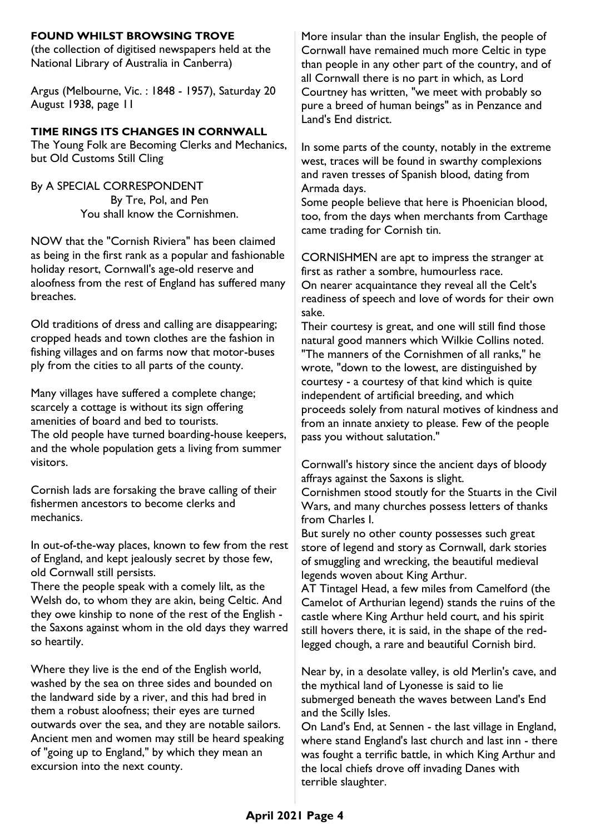#### **FOUND WHILST BROWSING TROVE**

(the collection of digitised newspapers held at the National Library of Australia in Canberra)

Argus (Melbourne, Vic. : 1848 - 1957), Saturday 20 August 1938, page 11

#### **TIME RINGS ITS CHANGES IN CORNWALL**

The Young Folk are Becoming Clerks and Mechanics, but Old Customs Still Cling

By A SPECIAL CORRESPONDENT By Tre, Pol, and Pen You shall know the Cornishmen.

NOW that the "Cornish Riviera" has been claimed as being in the first rank as a popular and fashionable holiday resort, Cornwall's age-old reserve and aloofness from the rest of England has suffered many breaches.

Old traditions of dress and calling are disappearing; cropped heads and town clothes are the fashion in fishing villages and on farms now that motor-buses ply from the cities to all parts of the county.

Many villages have suffered a complete change; scarcely a cottage is without its sign offering amenities of board and bed to tourists. The old people have turned boarding-house keepers, and the whole population gets a living from summer visitors.

Cornish lads are forsaking the brave calling of their fishermen ancestors to become clerks and mechanics.

In out-of-the-way places, known to few from the rest of England, and kept jealously secret by those few, old Cornwall still persists.

There the people speak with a comely lilt, as the Welsh do, to whom they are akin, being Celtic. And they owe kinship to none of the rest of the English the Saxons against whom in the old days they warred so heartily.

Where they live is the end of the English world, washed by the sea on three sides and bounded on the landward side by a river, and this had bred in them a robust aloofness; their eyes are turned outwards over the sea, and they are notable sailors. Ancient men and women may still be heard speaking of "going up to England," by which they mean an excursion into the next county.

More insular than the insular English, the people of Cornwall have remained much more Celtic in type than people in any other part of the country, and of all Cornwall there is no part in which, as Lord Courtney has written, "we meet with probably so pure a breed of human beings" as in Penzance and Land's End district.

In some parts of the county, notably in the extreme west, traces will be found in swarthy complexions and raven tresses of Spanish blood, dating from Armada days.

Some people believe that here is Phoenician blood, too, from the days when merchants from Carthage came trading for Cornish tin.

CORNISHMEN are apt to impress the stranger at first as rather a sombre, humourless race.

On nearer acquaintance they reveal all the Celt's readiness of speech and love of words for their own sake.

Their courtesy is great, and one will still find those natural good manners which Wilkie Collins noted. "The manners of the Cornishmen of all ranks," he wrote, "down to the lowest, are distinguished by courtesy - a courtesy of that kind which is quite independent of artificial breeding, and which proceeds solely from natural motives of kindness and from an innate anxiety to please. Few of the people pass you without salutation."

Cornwall's history since the ancient days of bloody affrays against the Saxons is slight.

Cornishmen stood stoutly for the Stuarts in the Civil Wars, and many churches possess letters of thanks from Charles I.

But surely no other county possesses such great store of legend and story as Cornwall, dark stories of smuggling and wrecking, the beautiful medieval legends woven about King Arthur.

AT Tintagel Head, a few miles from Camelford (the Camelot of Arthurian legend) stands the ruins of the castle where King Arthur held court, and his spirit still hovers there, it is said, in the shape of the redlegged chough, a rare and beautiful Cornish bird.

Near by, in a desolate valley, is old Merlin's cave, and the mythical land of Lyonesse is said to lie submerged beneath the waves between Land's End and the Scilly Isles.

On Land's End, at Sennen - the last village in England, where stand England's last church and last inn - there was fought a terrific battle, in which King Arthur and the local chiefs drove off invading Danes with terrible slaughter.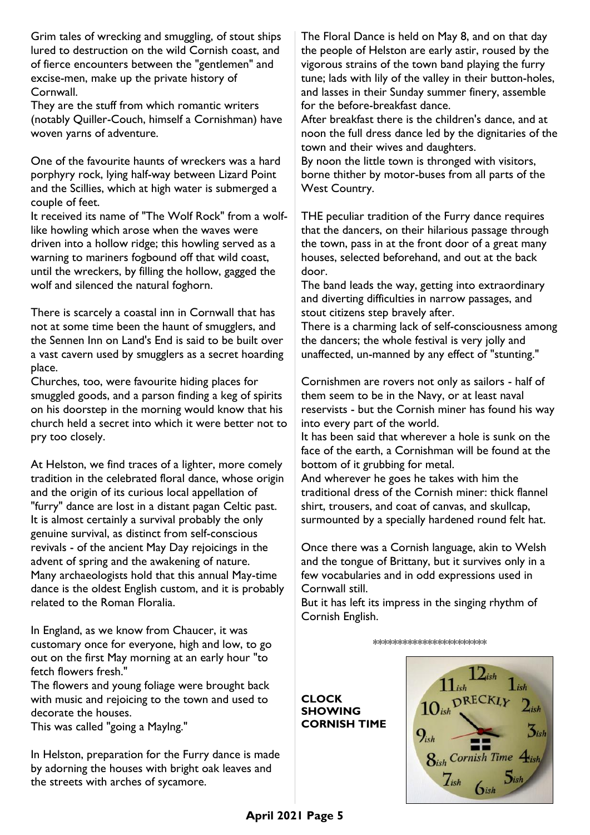Grim tales of wrecking and smuggling, of stout ships lured to destruction on the wild Cornish coast, and of fierce encounters between the "gentlemen" and excise-men, make up the private history of Cornwall.

They are the stuff from which romantic writers (notably Quiller-Couch, himself a Cornishman) have woven yarns of adventure.

One of the favourite haunts of wreckers was a hard porphyry rock, lying half-way between Lizard Point and the Scillies, which at high water is submerged a couple of feet.

It received its name of "The Wolf Rock" from a wolflike howling which arose when the waves were driven into a hollow ridge; this howling served as a warning to mariners fogbound off that wild coast, until the wreckers, by filling the hollow, gagged the wolf and silenced the natural foghorn.

There is scarcely a coastal inn in Cornwall that has not at some time been the haunt of smugglers, and the Sennen Inn on Land's End is said to be built over a vast cavern used by smugglers as a secret hoarding place.

Churches, too, were favourite hiding places for smuggled goods, and a parson finding a keg of spirits on his doorstep in the morning would know that his church held a secret into which it were better not to pry too closely.

At Helston, we find traces of a lighter, more comely tradition in the celebrated floral dance, whose origin and the origin of its curious local appellation of "furry" dance are lost in a distant pagan Celtic past. It is almost certainly a survival probably the only genuine survival, as distinct from self-conscious revivals - of the ancient May Day rejoicings in the advent of spring and the awakening of nature. Many archaeologists hold that this annual May-time dance is the oldest English custom, and it is probably related to the Roman Floralia.

In England, as we know from Chaucer, it was customary once for everyone, high and low, to go out on the first May morning at an early hour "to fetch flowers fresh."

The flowers and young foliage were brought back with music and rejoicing to the town and used to decorate the houses.

This was called "going a Maylng."

In Helston, preparation for the Furry dance is made by adorning the houses with bright oak leaves and the streets with arches of sycamore.

The Floral Dance is held on May 8, and on that day the people of Helston are early astir, roused by the vigorous strains of the town band playing the furry tune; lads with lily of the valley in their button-holes, and lasses in their Sunday summer finery, assemble for the before-breakfast dance.

After breakfast there is the children's dance, and at noon the full dress dance led by the dignitaries of the town and their wives and daughters.

By noon the little town is thronged with visitors, borne thither by motor-buses from all parts of the West Country.

THE peculiar tradition of the Furry dance requires that the dancers, on their hilarious passage through the town, pass in at the front door of a great many houses, selected beforehand, and out at the back door.

The band leads the way, getting into extraordinary and diverting difficulties in narrow passages, and stout citizens step bravely after.

There is a charming lack of self-consciousness among the dancers; the whole festival is very jolly and unaffected, un-manned by any effect of "stunting."

Cornishmen are rovers not only as sailors - half of them seem to be in the Navy, or at least naval reservists - but the Cornish miner has found his way into every part of the world.

It has been said that wherever a hole is sunk on the face of the earth, a Cornishman will be found at the bottom of it grubbing for metal.

And wherever he goes he takes with him the traditional dress of the Cornish miner: thick flannel shirt, trousers, and coat of canvas, and skullcap, surmounted by a specially hardened round felt hat.

Once there was a Cornish language, akin to Welsh and the tongue of Brittany, but it survives only in a few vocabularies and in odd expressions used in Cornwall still.

But it has left its impress in the singing rhythm of Cornish English.

\*\*\*\*\*\*\*\*\*\*\*\*\*\*\*\*\*\*\*\*\*\*\*

**CLOCK SHOWING CORNISH TIME**

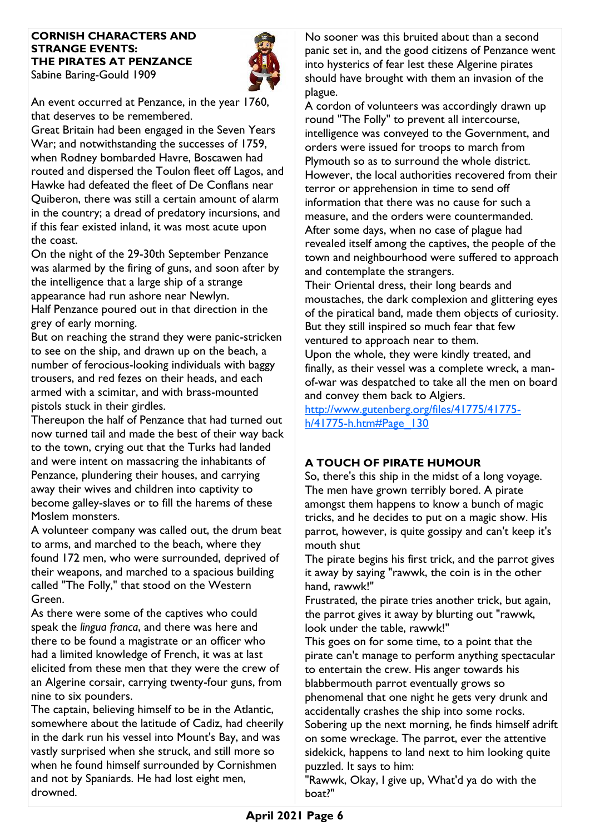#### **CORNISH CHARACTERS AND STRANGE EVENTS: THE PIRATES AT PENZANCE** Sabine Baring-Gould 1909



An event occurred at Penzance, in the year 1760, that deserves to be remembered.

Great Britain had been engaged in the Seven Years War; and notwithstanding the successes of 1759, when Rodney bombarded Havre, Boscawen had routed and dispersed the Toulon fleet off Lagos, and Hawke had defeated the fleet of De Conflans near Quiberon, there was still a certain amount of alarm in the country; a dread of predatory incursions, and if this fear existed inland, it was most acute upon the coast.

On the night of the 29-30th September Penzance was alarmed by the firing of guns, and soon after by the intelligence that a large ship of a strange appearance had run ashore near Newlyn. Half Penzance poured out in that direction in the grey of early morning.

But on reaching the strand they were panic-stricken to see on the ship, and drawn up on the beach, a number of ferocious-looking individuals with baggy trousers, and red fezes on their heads, and each armed with a scimitar, and with brass-mounted pistols stuck in their girdles.

Thereupon the half of Penzance that had turned out now turned tail and made the best of their way back to the town, crying out that the Turks had landed and were intent on massacring the inhabitants of Penzance, plundering their houses, and carrying away their wives and children into captivity to become galley-slaves or to fill the harems of these Moslem monsters.

A volunteer company was called out, the drum beat to arms, and marched to the beach, where they found 172 men, who were surrounded, deprived of their weapons, and marched to a spacious building called "The Folly," that stood on the Western Green.

As there were some of the captives who could speak the *lingua franca*, and there was here and there to be found a magistrate or an officer who had a limited knowledge of French, it was at last elicited from these men that they were the crew of an Algerine corsair, carrying twenty-four guns, from nine to six pounders.

The captain, believing himself to be in the Atlantic, somewhere about the latitude of Cadiz, had cheerily in the dark run his vessel into Mount's Bay, and was vastly surprised when she struck, and still more so when he found himself surrounded by Cornishmen and not by Spaniards. He had lost eight men, drowned.

No sooner was this bruited about than a second panic set in, and the good citizens of Penzance went into hysterics of fear lest these Algerine pirates should have brought with them an invasion of the plague.

A cordon of volunteers was accordingly drawn up round "The Folly" to prevent all intercourse, intelligence was conveyed to the Government, and orders were issued for troops to march from Plymouth so as to surround the whole district. However, the local authorities recovered from their terror or apprehension in time to send off information that there was no cause for such a measure, and the orders were countermanded. After some days, when no case of plague had revealed itself among the captives, the people of the town and neighbourhood were suffered to approach and contemplate the strangers.

Their Oriental dress, their long beards and moustaches, the dark complexion and glittering eyes of the piratical band, made them objects of curiosity. But they still inspired so much fear that few ventured to approach near to them.

Upon the whole, they were kindly treated, and finally, as their vessel was a complete wreck, a manof-war was despatched to take all the men on board and convey them back to Algiers.

[http://www.gutenberg.org/files/41775/41775](http://www.gutenberg.org/files/41775/41775-h/41775-h.htm#Page_130) [h/41775-h.htm#Page\\_130](http://www.gutenberg.org/files/41775/41775-h/41775-h.htm#Page_130)

## **A TOUCH OF PIRATE HUMOUR**

So, there's this ship in the midst of a long voyage. The men have grown terribly bored. A pirate amongst them happens to know a bunch of magic tricks, and he decides to put on a magic show. His parrot, however, is quite gossipy and can't keep it's mouth shut

The pirate begins his first trick, and the parrot gives it away by saying "rawwk, the coin is in the other hand, rawwk!"

Frustrated, the pirate tries another trick, but again, the parrot gives it away by blurting out "rawwk, look under the table, rawwk!"

This goes on for some time, to a point that the pirate can't manage to perform anything spectacular to entertain the crew. His anger towards his blabbermouth parrot eventually grows so phenomenal that one night he gets very drunk and accidentally crashes the ship into some rocks. Sobering up the next morning, he finds himself adrift on some wreckage. The parrot, ever the attentive sidekick, happens to land next to him looking quite puzzled. It says to him:

"Rawwk, Okay, I give up, What'd ya do with the boat?"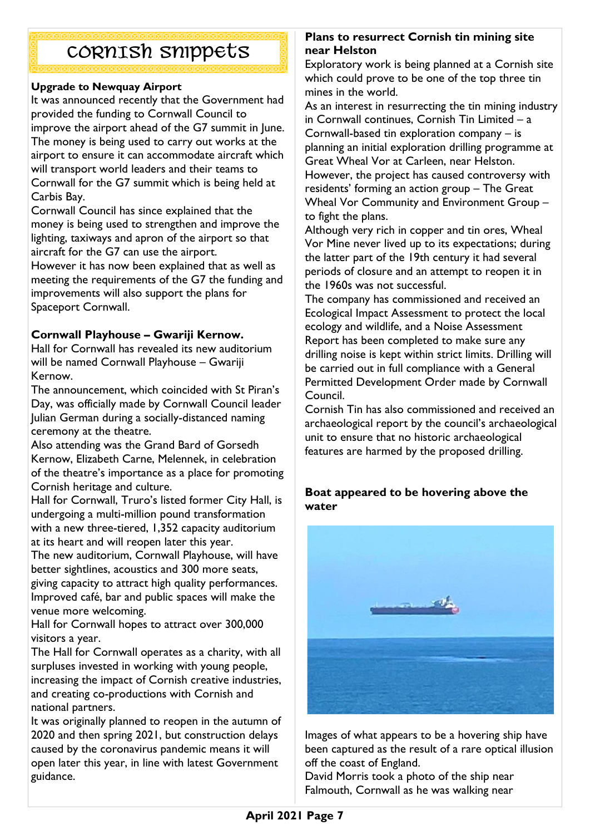# CORNISH snippets

#### **Upgrade to Newquay Airport**

It was announced recently that the Government had provided the funding to Cornwall Council to improve the airport ahead of the G7 summit in June. The money is being used to carry out works at the airport to ensure it can accommodate aircraft which will transport world leaders and their teams to Cornwall for the G7 summit which is being held at Carbis Bay.

Cornwall Council has since explained that the money is being used to strengthen and improve the lighting, taxiways and apron of the airport so that aircraft for the G7 can use the airport.

However it has now been explained that as well as meeting the requirements of the G7 the funding and improvements will also support the plans for Spaceport Cornwall.

## **Cornwall Playhouse – Gwariji Kernow.**

Hall for Cornwall has revealed its new auditorium will be named Cornwall Playhouse – Gwariji Kernow.

The announcement, which coincided with St Piran's Day, was officially made by Cornwall Council leader Julian German during a socially-distanced naming ceremony at the theatre.

Also attending was the Grand Bard of Gorsedh Kernow, Elizabeth Carne, Melennek, in celebration of the theatre's importance as a place for promoting Cornish heritage and culture.

Hall for Cornwall, Truro's listed former City Hall, is undergoing a multi-million pound transformation with a new three-tiered, 1,352 capacity auditorium at its heart and will reopen later this year.

The new auditorium, Cornwall Playhouse, will have better sightlines, acoustics and 300 more seats, giving capacity to attract high quality performances. Improved café, bar and public spaces will make the venue more welcoming.

Hall for Cornwall hopes to attract over 300,000 visitors a year.

The Hall for Cornwall operates as a charity, with all surpluses invested in working with young people, increasing the impact of Cornish creative industries, and creating co-productions with Cornish and national partners.

It was originally planned to reopen in the autumn of 2020 and then spring 2021, but construction delays caused by the coronavirus pandemic means it will open later this year, in line with latest Government guidance.

#### **Plans to resurrect Cornish tin mining site near Helston**

Exploratory work is being planned at a Cornish site which could prove to be one of the top three tin mines in the world.

As an interest in resurrecting the tin mining industry in Cornwall continues, Cornish Tin Limited – a Cornwall-based tin exploration company – is planning an initial exploration drilling programme at Great Wheal Vor at Carleen, near Helston. However, the project has caused controversy with residents' forming an action group – The Great Wheal Vor Community and Environment Group – to fight the plans.

Although very rich in copper and tin ores, Wheal Vor Mine never lived up to its expectations; during the latter part of the 19th century it had several periods of closure and an attempt to reopen it in the 1960s was not successful.

The company has commissioned and received an Ecological Impact Assessment to protect the local ecology and wildlife, and a Noise Assessment Report has been completed to make sure any drilling noise is kept within strict limits. Drilling will be carried out in full compliance with a General Permitted Development Order made by Cornwall Council.

Cornish Tin has also commissioned and received an archaeological report by the council's archaeological unit to ensure that no historic archaeological features are harmed by the proposed drilling.

#### **Boat appeared to be hovering above the water**



Images of what appears to be a hovering ship have been captured as the result of a rare optical illusion off the coast of England.

David Morris took a photo of the ship near Falmouth, Cornwall as he was walking near